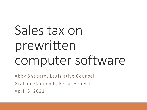# Sales tax on prewritten computer software

Abby Shepard, Legislative Counsel Graham Campbell, Fiscal Analyst April 8, 2021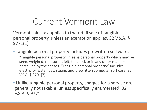### Current Vermont Law

Vermont sales tax applies to the retail sale of tangible personal property, unless an exemption applies. 32 V.S.A. § 9771(1).

- Tangible personal property includes prewritten software:
	- "Tangible personal property" means personal property which may be seen, weighed, measured, felt, touched, or in any other manner perceived by the senses. "Tangible personal property" includes electricity, water, gas, steam, and prewritten computer software. 32 V.S.A. § 9701(7).
- Unlike tangible personal property, charges for a service are generally not taxable, unless specifically enumerated. 32 V.S.A. § 9771.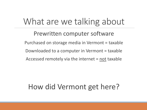### What are we talking about

Prewritten computer software Purchased on storage media in Vermont = taxable Downloaded to a computer in Vermont = taxable Accessed remotely via the internet = not taxable

#### How did Vermont get here?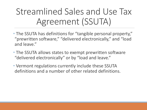Streamlined Sales and Use Tax Agreement (SSUTA)

- The SSUTA has definitions for "tangible personal property," "prewritten software," "delivered electronically," and "load and leave."
- The SSUTA allows states to exempt prewritten software "delivered electronically" or by "load and leave."
- Vermont regulations currently include these SSUTA definitions and a number of other related definitions.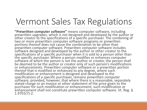## Vermont Sales Tax Regulations

**"Prewritten computer software"** means computer software, including prewritten upgrades, which is not designed and developed by the author or other creator to the specifications of a specific purchaser. The combining of two or more prewritten computer software programs or prewritten portions thereof does not cause the combination to be other than prewritten computer software. Prewritten computer software includes software designed and developed by the author or other creator to the specifications of a specific purchaser when it is sold to a person other than the specific purchaser. Where a person modifies or enhances computer software of which the person is not the author or creator, the person shall be deemed to be the author or creator only of such person's modifications or enhancements. Prewritten computer software or a prewritten portion thereof that is modified or enhanced to any degree, where such modification or enhancement is designed and developed to the specifications of a specific purchaser, remains prewritten computer software; provided, however, that where there is a reasonable, separately stated charge or an invoice or other statement of the price given to the purchaser for such modification or enhancement, such modification or enhancement shall not constitute prewritten computer software. Vt. Reg. § 1.9701(7)-2.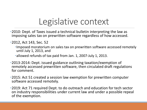### Legislative context

- •2010: Dept. of Taxes issued a technical bulletin interpreting the law as imposing sales tax on prewritten software regardless of how accessed.
- •2012, Act 143, Sec. 52
	- •Imposed moratorium on sales tax on prewritten software accessed remotely until July 1, 2013, and
	- •allowed refunds of tax paid from Jan. 1, 2007-July 1, 2013.
- •2013-2014: Dept. issued guidance outlining taxation/exemption of remotely accessed prewritten software, then circulated draft regulations for comment.
- •2015: Act 51 created a session law exemption for prewritten computer software accessed remotely.
- •2019: Act 71 required Dept. to do outreach and education for tech sector on industry responsibilities under current law and under a possible repeal of the exemption.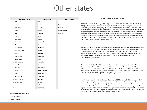#### Other states

| 21 States & D.C. Tax | 24 States Exempt      | 5 States ≠ Sales Tax | <b>Recent Changes to Taxation of SaaS</b>                                                                                                                                                                                                                                                                                                                     |  |
|----------------------|-----------------------|----------------------|---------------------------------------------------------------------------------------------------------------------------------------------------------------------------------------------------------------------------------------------------------------------------------------------------------------------------------------------------------------|--|
| 1 Alabama**          | <b>Arkansas</b>       | Alaska               |                                                                                                                                                                                                                                                                                                                                                               |  |
| 2 Arizona            | California            | Delaware             | Alabama: Ex parte Russell Cty. Cmty. Hosp., LLC, No. 1180204, 2019 WL 2150922 (Ala. May 17,<br>2019) (holding that all software, including custom software created for a particular user, is                                                                                                                                                                  |  |
| 3 Connecticut        | Colorado              | Montana              | taxable tangible personal property. However, nontaxable services that can accompany the                                                                                                                                                                                                                                                                       |  |
| 4 Hawaii*            | Florida               | New Hampshire        | conveyance of software include "determining a particular software user's needs, designing and<br>programming new software for a particular user, modifying or configuring existing software                                                                                                                                                                   |  |
| 5 lowa               | Georgia               | Oregon               | programs to meet a particular user's needs, installing software, and training users to operate<br>software. If the costs of such services are separately stated and invoiced, they are nontaxable.<br>Charges for the software itself trigger the imposition of sales tax at the time the sale closes and<br>the software is transferred to the purchaser."). |  |
| 6 Louisiana          | Idaho                 |                      |                                                                                                                                                                                                                                                                                                                                                               |  |
| 7 Mississippi        | Illinois              |                      |                                                                                                                                                                                                                                                                                                                                                               |  |
| 8 Maryland**         | Indiana**             |                      |                                                                                                                                                                                                                                                                                                                                                               |  |
| 9 Massachusetts      | Kansas                |                      |                                                                                                                                                                                                                                                                                                                                                               |  |
| 10 New Mexico        | Kentucky*             |                      | Indiana: eff. July 1, 2018, transactions involving the remote access of prewritten software over                                                                                                                                                                                                                                                              |  |
| 11 New York & NYC    | Maine*                |                      | the internet, private or public networks, or through wireless media, are not considered to be<br>"delivered electronically," and do not constitute a retail transaction. I.C. § 6-2.5-4-16.7, as                                                                                                                                                              |  |
| 12 Ohio              | Michigan              |                      | added by 2018 Ind. S.B. 257, eff. July 1, 2018; Indiana Tax Information Sales Tax Bulletin 8;                                                                                                                                                                                                                                                                 |  |
| 13 Pennsylvania      | Minnesota             |                      | Indiana Department of Revenue, New Laws in Effect from 2018 Session; Indiana<br>Commissioner's Directive 41.                                                                                                                                                                                                                                                  |  |
| 14 Rhode Island**    | Missouri              |                      |                                                                                                                                                                                                                                                                                                                                                               |  |
| 15 South Carolina    | Nebraska              |                      |                                                                                                                                                                                                                                                                                                                                                               |  |
| 16 South Dakota      | Nevada*               |                      | Rhode Island: eff. Oct. 1, 2018, vendor-hosted prewritten computer software is subject to                                                                                                                                                                                                                                                                     |  |
| 17 Tennesee          | <b>New Jersey</b>     |                      | Rhode Island's sales tax. Rhode Island considers sales of such software to be SaaS transactions.<br>R.I. Gen. Laws § 44-18-7(15), as added by 2018 R.I. H. 7200, eff. July 1, 2018; Rhode Island                                                                                                                                                              |  |
| 18 Texas             | <b>North Carolina</b> |                      | Advisory 2018-38 (Sept. 4, 2018); Rhode Island Tax News First Quarter 2019; see Rhode Island                                                                                                                                                                                                                                                                  |  |
| 19 Utah              | <b>North Dakota</b>   |                      | Dept. of Rev., Summary of Legislative Changes (July 12, 2018).                                                                                                                                                                                                                                                                                                |  |
| 20 Washington        | Oklahoma**            |                      |                                                                                                                                                                                                                                                                                                                                                               |  |
| 21 Washington DC     | Vermont               |                      | Maryland: eff. March 14, 2021, the sale of canned or COTS software if obtained electronically                                                                                                                                                                                                                                                                 |  |
| 22 West Virginia*    | Virginia              |                      | by the buyer is a digital product and is subject to the Maryland sales and use tax. The sale of                                                                                                                                                                                                                                                               |  |
| 23                   | Wisconsin             |                      | software as a service (SaaS) is also subject to the sales and use tax. Sales and use tax does not<br>apply to a sale of $(1)$ custom computer software services or $(2)$ a computer program that is                                                                                                                                                           |  |
| 24                   | Wyoming               |                      | legally permitted to be and is intended to be reproduced for sale or incorporated in whole or in                                                                                                                                                                                                                                                              |  |

part into another computer program intended for sale. Tax-General Article § 11-101(c-4)(1); HB

932 of 2020, eff. 30 days after veto override: March 14, 2021.

#### **Bold = SSUTA full member states**

\*Little or no guidance

\*\*Recent changes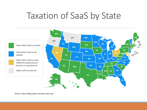### Taxation of SaaS by State



Source: https://blog.taxjar.com/saas-sales-tax/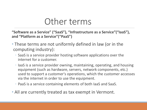#### Other terms

**"Software as a Service" ("SaaS"), "Infrastructure as a Service"("IaaS"), and "Platform as a Service"("PaaS")**

- These terms are not uniformly defined in law (or in the computing industry):
	- SaaS is a service provider hosting software applications over the internet for a customer.
	- IaaS is a service provider owning, maintaining, operating, and housing equipment (such as hardware, servers, network components, etc.) used to support a customer's operations, which the customer accesses via the internet in order to use the equipment.
	- PaaS is a service containing elements of both IaaS and SaaS.
- All are currently treated as tax exempt in Vermont.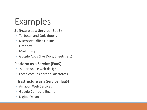## Examples

#### **Software as a Service (SaaS)**

- Turbotax and Quickbooks
- Microsoft Office Online
- Dropbox
- Mail Chimp
- Google Apps (like Docs, Sheets, etc)

#### **Platform as a Service (PaaS)**

- Squarespace web design
- Force.com (as part of Salesforce)

#### **Infrastructure as a Service (IaaS)**

- Amazon Web Services
- Google Compute Engine
- Digital Ocean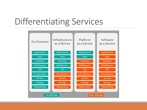## Differentiating Services

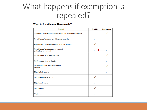#### What happens if exemption is repealed?

#### **What is Taxable and Nontaxable?**

| <b>Product</b>                                                   | <b>Taxable</b> | <b>Nontaxable</b> |
|------------------------------------------------------------------|----------------|-------------------|
| Custom software written exclusively for the customer's business  |                |                   |
| Prewritten software on tangible storage media                    |                |                   |
| Prewritten software downloaded from the internet                 |                |                   |
| Prewritten software accessed remotely<br>on the internet or SaaS |                |                   |
| Infrastructure as a Service (laaS)                               |                |                   |
| Platform as a Service (PaaS)                                     |                |                   |
| Development and technical support<br>services                    |                |                   |
| <b>Digital photographs</b>                                       |                |                   |
| <b>Digital audio-visual works</b>                                |                |                   |
| <b>Digital audio works</b>                                       |                |                   |
| <b>Digital books</b>                                             |                |                   |
| <b>Ringtones</b>                                                 |                |                   |